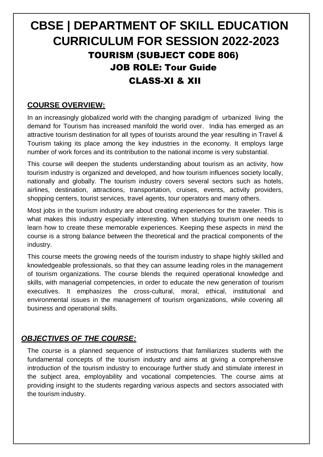# **CBSE | DEPARTMENT OF SKILL EDUCATION CURRICULUM FOR SESSION 2022-2023** TOURISM (SUBJECT CODE 806) JOB ROLE: Tour Guide CLASS-XI & XII

# **COURSE OVERVIEW:**

In an increasingly globalized world with the changing paradigm of urbanized living the demand for Tourism has increased manifold the world over. India has emerged as an attractive tourism destination for all types of tourists around the year resulting in Travel & Tourism taking its place among the key industries in the economy. It employs large number of work forces and its contribution to the national income is very substantial.

This course will deepen the students understanding about tourism as an activity, how tourism industry is organized and developed, and how tourism influences society locally, nationally and globally. The tourism industry covers several sectors such as hotels, airlines, destination, attractions, transportation, cruises, events, activity providers, shopping centers, tourist services, travel agents, tour operators and many others.

Most jobs in the tourism industry are about creating experiences for the traveler. This is what makes this industry especially interesting. When studying tourism one needs to learn how to create these memorable experiences. Keeping these aspects in mind the course is a strong balance between the theoretical and the practical components of the industry.

This course meets the growing needs of the tourism industry to shape highly skilled and knowledgeable professionals, so that they can assume leading roles in the management of tourism organizations. The course blends the required operational knowledge and skills, with managerial competencies, in order to educate the new generation of tourism executives. It emphasizes the cross-cultural, moral, ethical, institutional and environmental issues in the management of tourism organizations, while covering all business and operational skills.

# *OBJECTIVES OF THE COURSE:*

The course is a planned sequence of instructions that familiarizes students with the fundamental concepts of the tourism industry and aims at giving a comprehensive introduction of the tourism industry to encourage further study and stimulate interest in the subject area, employability and vocational competencies. The course aims at providing insight to the students regarding various aspects and sectors associated with the tourism industry.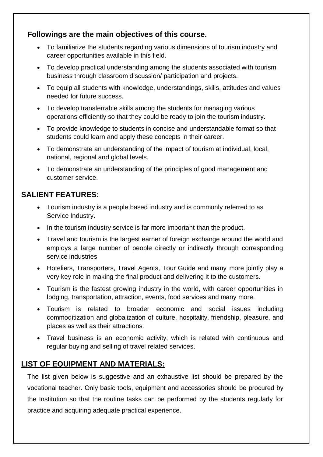# **Followings are the main objectives of this course.**

- To familiarize the students regarding various dimensions of tourism industry and career opportunities available in this field.
- To develop practical understanding among the students associated with tourism business through classroom discussion/ participation and projects.
- To equip all students with knowledge, understandings, skills, attitudes and values needed for future success.
- To develop transferrable skills among the students for managing various operations efficiently so that they could be ready to join the tourism industry.
- To provide knowledge to students in concise and understandable format so that students could learn and apply these concepts in their career.
- To demonstrate an understanding of the impact of tourism at individual, local, national, regional and global levels.
- To demonstrate an understanding of the principles of good management and customer service.

# **SALIENT FEATURES:**

- Tourism industry is a people based industry and is commonly referred to as Service Industry.
- In the tourism industry service is far more important than the product.
- Travel and tourism is the largest earner of foreign exchange around the world and employs a large number of people directly or indirectly through corresponding service industries
- Hoteliers, Transporters, Travel Agents, Tour Guide and many more jointly play a very key role in making the final product and delivering it to the customers.
- Tourism is the fastest growing industry in the world, with career opportunities in lodging, transportation, attraction, events, food services and many more.
- Tourism is related to broader economic and social issues including commoditization and globalization of culture, hospitality, friendship, pleasure, and places as well as their attractions.
- Travel business is an economic activity, which is related with continuous and regular buying and selling of travel related services.

# **LIST OF EQUIPMENT AND MATERIALS:**

The list given below is suggestive and an exhaustive list should be prepared by the vocational teacher. Only basic tools, equipment and accessories should be procured by the Institution so that the routine tasks can be performed by the students regularly for practice and acquiring adequate practical experience.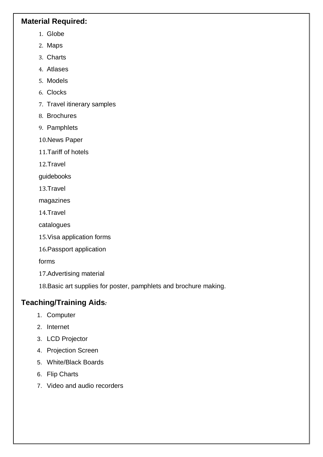## **Material Required:**

- 1. Globe
- 2. Maps
- 3. Charts
- 4. Atlases
- 5. Models
- 6. Clocks
- 7. Travel itinerary samples
- 8. Brochures
- 9. Pamphlets
- 10.News Paper
- 11.Tariff of hotels
- 12.Travel

guidebooks

13.Travel

magazines

14.Travel

catalogues

- 15.Visa application forms
- 16.Passport application

forms

17.Advertising material

18.Basic art supplies for poster, pamphlets and brochure making.

# **Teaching/Training Aids***:*

- 1. Computer
- 2. Internet
- 3. LCD Projector
- 4. Projection Screen
- 5. White/Black Boards
- 6. Flip Charts
- 7. Video and audio recorders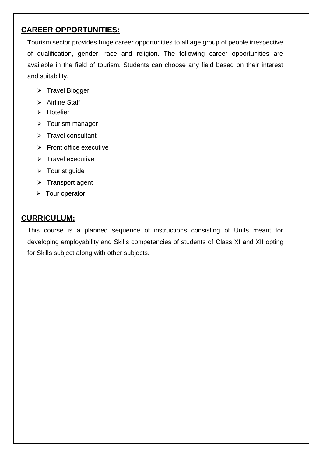# **CAREER OPPORTUNITIES:**

Tourism sector provides huge career opportunities to all age group of people irrespective of qualification, gender, race and religion. The following career opportunities are available in the field of tourism. Students can choose any field based on their interest and suitability.

- $\triangleright$  Travel Blogger
- > Airline Staff
- $\triangleright$  Hotelier
- > Tourism manager
- $\triangleright$  Travel consultant
- $\triangleright$  Front office executive
- $\triangleright$  Travel executive
- $\triangleright$  Tourist guide
- $\triangleright$  Transport agent
- $\triangleright$  Tour operator

# **CURRICULUM:**

This course is a planned sequence of instructions consisting of Units meant for developing employability and Skills competencies of students of Class XI and XII opting for Skills subject along with other subjects.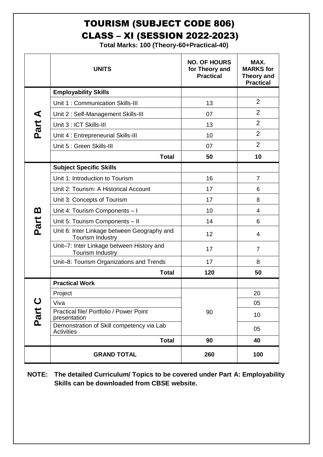# TOURISM (SUBJECT CODE 806) CLASS – XI (SESSION 2022-2023)

**Total Marks: 100 (Theory-60+Practical-40)**

|             | <b>UNITS</b>                                                    | <b>NO. OF HOURS</b><br>for Theory and<br><b>Practical</b> | MAX.<br><b>MARKS</b> for<br><b>Theory and</b><br><b>Practical</b> |
|-------------|-----------------------------------------------------------------|-----------------------------------------------------------|-------------------------------------------------------------------|
|             | <b>Employability Skills</b>                                     |                                                           |                                                                   |
|             | Unit 1: Communication Skills-III                                | 13                                                        | $\overline{2}$                                                    |
|             | Unit 2: Self-Management Skills-III                              | 07                                                        | $\overline{2}$                                                    |
| Part A      | Unit 3 : ICT Skills-III                                         | 13                                                        | $\overline{2}$                                                    |
|             | Unit 4 : Entrepreneurial Skills-III                             | 10                                                        | $\overline{2}$                                                    |
|             | Unit 5 : Green Skills-III                                       | 07                                                        | $\overline{2}$                                                    |
|             | <b>Total</b>                                                    | 50                                                        | 10                                                                |
|             | <b>Subject Specific Skills</b>                                  |                                                           |                                                                   |
|             | Unit 1: Introduction to Tourism                                 | 16                                                        | $\overline{7}$                                                    |
|             | Unit 2: Tourism: A Historical Account                           | 17                                                        | 6                                                                 |
|             | Unit 3: Concepts of Tourism                                     | 17                                                        | 8                                                                 |
| മ           | Unit 4: Tourism Components - I                                  | 10                                                        | 4                                                                 |
| Part        | Unit 5: Tourism Components - II                                 | 14                                                        | 6                                                                 |
|             | Unit 6: Inter Linkage between Geography and<br>Tourism Industry | 12                                                        | 4                                                                 |
|             | Unit-7: Inter Linkage between History and<br>Tourism Industry   | 17                                                        | $\overline{7}$                                                    |
|             | Unit-8: Tourism Organizations and Trends                        | 17                                                        | 8                                                                 |
|             | <b>Total</b>                                                    | 120                                                       | 50                                                                |
|             | <b>Practical Work</b>                                           |                                                           |                                                                   |
|             | Project                                                         |                                                           | 20                                                                |
| $\mathbf C$ | Viva                                                            |                                                           | 05                                                                |
| Part        | Practical file/ Portfolio / Power Point<br>presentation         | 90                                                        | 10                                                                |
|             | Demonstration of Skill competency via Lab<br><b>Activities</b>  |                                                           | 05                                                                |
|             | <b>Total</b>                                                    | 90                                                        | 40                                                                |
|             | <b>GRAND TOTAL</b>                                              | 260                                                       | 100                                                               |

**NOTE: The detailed Curriculum/ Topics to be covered under Part A: Employability Skills can be downloaded from CBSE website.**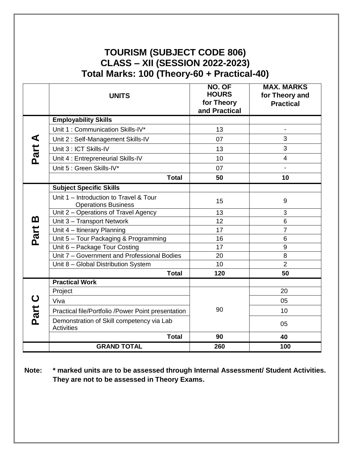# **TOURISM (SUBJECT CODE 806) CLASS – XII (SESSION 2022-2023) Total Marks: 100 (Theory-60 + Practical-40)**

|          | <b>UNITS</b>                                                         | NO. OF<br><b>HOURS</b><br>for Theory<br>and Practical | <b>MAX. MARKS</b><br>for Theory and<br><b>Practical</b> |
|----------|----------------------------------------------------------------------|-------------------------------------------------------|---------------------------------------------------------|
|          | <b>Employability Skills</b>                                          |                                                       |                                                         |
|          | Unit 1: Communication Skills-IV*                                     | 13                                                    |                                                         |
|          | Unit 2: Self-Management Skills-IV                                    | 07                                                    | 3                                                       |
|          | Unit 3 : ICT Skills-IV                                               | 13                                                    | 3                                                       |
| Part A   | Unit 4 : Entrepreneurial Skills-IV                                   | 10 <sup>1</sup>                                       | $\overline{4}$                                          |
|          | Unit 5 : Green Skills-IV*                                            | 07                                                    | $\blacksquare$                                          |
|          | <b>Total</b>                                                         | 50                                                    | 10                                                      |
|          | <b>Subject Specific Skills</b>                                       |                                                       |                                                         |
|          | Unit 1 - Introduction to Travel & Tour<br><b>Operations Business</b> | 15                                                    | 9                                                       |
|          | Unit 2 - Operations of Travel Agency                                 | 13                                                    | 3                                                       |
| <u>ന</u> | Unit 3 - Transport Network                                           | 12                                                    | 6                                                       |
| Part     | Unit 4 - Itinerary Planning                                          | 17                                                    | $\overline{7}$                                          |
|          | Unit 5 - Tour Packaging & Programming                                | 16                                                    | 6                                                       |
|          | Unit 6 - Package Tour Costing                                        | 17                                                    | 9                                                       |
|          | Unit 7 - Government and Professional Bodies                          | 20                                                    | 8                                                       |
|          | Unit 8 - Global Distribution System                                  | 10                                                    | $\overline{2}$                                          |
|          | <b>Total</b>                                                         | 120                                                   | 50                                                      |
|          | <b>Practical Work</b>                                                |                                                       |                                                         |
|          | Project                                                              |                                                       | 20                                                      |
|          | Viva                                                                 |                                                       | 05                                                      |
| Part C   | Practical file/Portfolio /Power Point presentation                   | 90                                                    | 10                                                      |
|          | Demonstration of Skill competency via Lab<br><b>Activities</b>       |                                                       | 05                                                      |
|          | <b>Total</b>                                                         | 90                                                    | 40                                                      |
|          | <b>GRAND TOTAL</b>                                                   | 260                                                   | 100                                                     |

**Note: \* marked units are to be assessed through Internal Assessment/ Student Activities. They are not to be assessed in Theory Exams.**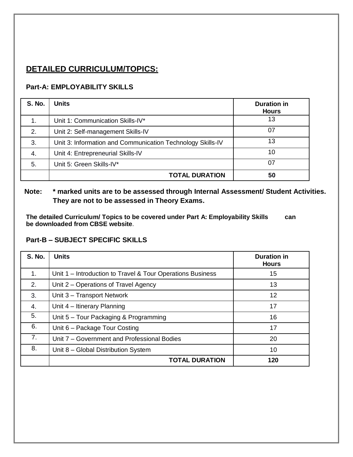# **DETAILED CURRICULUM/TOPICS:**

### **Part-A: EMPLOYABILITY SKILLS**

| <b>S. No.</b> | <b>Units</b>                                               | <b>Duration in</b><br><b>Hours</b> |
|---------------|------------------------------------------------------------|------------------------------------|
|               | Unit 1: Communication Skills-IV*                           | 13                                 |
| 2.            | Unit 2: Self-management Skills-IV                          | 07                                 |
| 3.            | Unit 3: Information and Communication Technology Skills-IV | 13                                 |
| 4.            | Unit 4: Entrepreneurial Skills-IV                          | 10                                 |
| 5.            | Unit 5: Green Skills-IV*                                   | 07                                 |
|               | <b>TOTAL DURATION</b>                                      | 50                                 |

### **Note: \* marked units are to be assessed through Internal Assessment/ Student Activities. They are not to be assessed in Theory Exams.**

**The detailed Curriculum/ Topics to be covered under Part A: Employability Skills can be downloaded from CBSE website**.

#### **Part-B – SUBJECT SPECIFIC SKILLS**

| <b>S. No.</b>  | <b>Units</b>                                               | <b>Duration in</b><br><b>Hours</b> |
|----------------|------------------------------------------------------------|------------------------------------|
| 1.             | Unit 1 - Introduction to Travel & Tour Operations Business | 15                                 |
| 2.             | Unit 2 – Operations of Travel Agency                       | 13                                 |
| 3.             | Unit 3 - Transport Network                                 | 12                                 |
| 4.             | Unit 4 - Itinerary Planning                                | 17                                 |
| 5.             | Unit 5 – Tour Packaging & Programming                      | 16                                 |
| 6.             | Unit 6 - Package Tour Costing                              | 17                                 |
| 7 <sub>1</sub> | Unit 7 – Government and Professional Bodies                | 20                                 |
| 8.             | Unit 8 - Global Distribution System                        | 10                                 |
|                | <b>TOTAL DURATION</b>                                      | 120                                |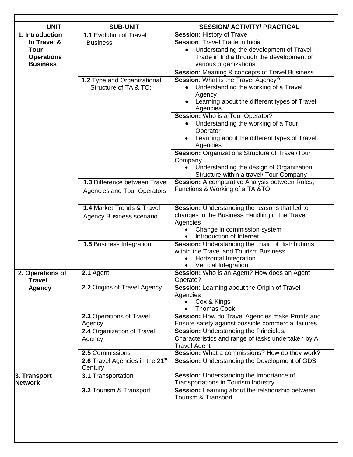| <b>UNIT</b>       | <b>SUB-UNIT</b>                             | <b>SESSION/ ACTIVITY/ PRACTICAL</b>                         |
|-------------------|---------------------------------------------|-------------------------------------------------------------|
| 1. Introduction   | 1.1 Evolution of Travel                     | Session: History of Travel                                  |
| to Travel &       | <b>Business</b>                             | Session: Travel Trade in India                              |
| <b>Tour</b>       |                                             | Understanding the development of Travel<br>$\bullet$        |
| <b>Operations</b> |                                             | Trade in India through the development of                   |
| <b>Business</b>   |                                             | various organizations                                       |
|                   |                                             | <b>Session: Meaning &amp; concepts of Travel Business</b>   |
|                   | 1.2 Type and Organizational                 | Session: What is the Travel Agency?                         |
|                   | Structure of TA & TO:                       | Understanding the working of a Travel                       |
|                   |                                             | Agency                                                      |
|                   |                                             | Learning about the different types of Travel                |
|                   |                                             | Agencies                                                    |
|                   |                                             | <b>Session:</b> Who is a Tour Operator?                     |
|                   |                                             | Understanding the working of a Tour                         |
|                   |                                             | Operator                                                    |
|                   |                                             | Learning about the different types of Travel                |
|                   |                                             | Agencies<br>Session: Organizations Structure of Travel/Tour |
|                   |                                             | Company                                                     |
|                   |                                             | Understanding the design of Organization                    |
|                   |                                             | Structure within a travel/ Tour Company                     |
|                   | 1.3 Difference between Travel               | Session: A comparative Analysis between Roles,              |
|                   | <b>Agencies and Tour Operators</b>          | Functions & Working of a TA & TO                            |
|                   |                                             |                                                             |
|                   | 1.4 Market Trends & Travel                  | Session: Understanding the reasons that led to              |
|                   |                                             | changes in the Business Handling in the Travel              |
|                   | <b>Agency Business scenario</b>             | Agencies                                                    |
|                   |                                             | Change in commission system                                 |
|                   |                                             | Introduction of Internet<br>$\bullet$                       |
|                   | 1.5 Business Integration                    | Session: Understanding the chain of distributions           |
|                   |                                             | within the Travel and Tourism Business                      |
|                   |                                             | Horizontal Integration                                      |
|                   |                                             | Vertical Integration                                        |
| 2. Operations of  | 2.1 Agent                                   | Session: Who is an Agent? How does an Agent                 |
| Travel            | 2.2 Origins of Travel Agency                | Operate?                                                    |
| <b>Agency</b>     |                                             | Session: Learning about the Origin of Travel<br>Agencies    |
|                   |                                             | Cox & Kings                                                 |
|                   |                                             | <b>Thomas Cook</b>                                          |
|                   | 2.3 Operations of Travel                    | Session: How do Travel Agencies make Profits and            |
|                   | Agency                                      | Ensure safety against possible commercial failures          |
|                   | 2.4 Organization of Travel                  | Session: Understanding the Principles,                      |
|                   | Agency                                      | Characteristics and range of tasks undertaken by A          |
|                   |                                             | <b>Travel Agent</b>                                         |
|                   | 2.5 Commissions                             | Session: What a commissions? How do they work?              |
|                   | 2.6 Travel Agencies in the 21 <sup>st</sup> | <b>Session:</b> Understanding the Development of GDS        |
|                   | Century                                     |                                                             |
| 3. Transport      | 3.1 Transportation                          | Session: Understanding the Importance of                    |
| Network           |                                             | Transportations in Tourism Industry                         |
|                   | 3.2 Tourism & Transport                     | Session: Learning about the relationship between            |
|                   |                                             | Tourism & Transport                                         |

Γ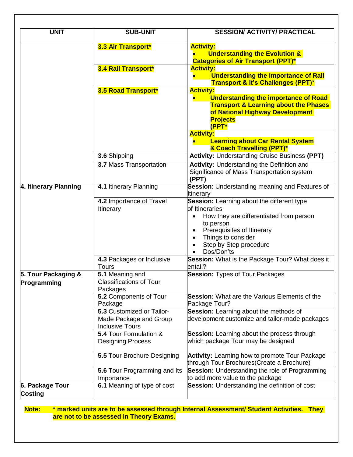| <b>UNIT</b>                        | <b>SUB-UNIT</b>                                                               | <b>SESSION/ ACTIVITY/ PRACTICAL</b>                                                                                                                                                                                                             |
|------------------------------------|-------------------------------------------------------------------------------|-------------------------------------------------------------------------------------------------------------------------------------------------------------------------------------------------------------------------------------------------|
|                                    | 3.3 Air Transport*                                                            | <b>Activity:</b><br><b>Understanding the Evolution &amp;</b><br><b>Categories of Air Transport (PPT)*</b>                                                                                                                                       |
|                                    | 3.4 Rail Transport*                                                           | <b>Activity:</b><br><b>Understanding the Importance of Rail</b><br><b>Transport &amp; It's Challenges (PPT)*</b>                                                                                                                                |
|                                    | 3.5 Road Transport*                                                           | <b>Activity:</b><br><b>Understanding the importance of Road</b><br>$\bullet$<br><b>Transport &amp; Learning about the Phases</b><br>of National Highway Development<br><b>Projects</b><br>(PPT*                                                 |
|                                    |                                                                               | <b>Activity:</b><br><b>Learning about Car Rental System</b><br>& Coach Travelling (PPT)*                                                                                                                                                        |
|                                    | 3.6 Shipping                                                                  | <b>Activity: Understanding Cruise Business (PPT)</b>                                                                                                                                                                                            |
|                                    | 3.7 Mass Transportation                                                       | <b>Activity: Understanding the Definition and</b><br>Significance of Mass Transportation system<br>(PPT)                                                                                                                                        |
| 4. Itinerary Planning              | 4.1 Itinerary Planning                                                        | Session: Understanding meaning and Features of<br><b>Itinerary</b>                                                                                                                                                                              |
|                                    | 4.2 Importance of Travel<br><b>Itinerary</b>                                  | Session: Learning about the different type<br>of Itineraries<br>How they are differentiated from person<br>$\bullet$<br>to person<br>Prerequisites of Itinerary<br>٠<br>Things to consider<br>$\bullet$<br>Step by Step procedure<br>Dos/Don'ts |
|                                    | 4.3 Packages or Inclusive<br><b>Tours</b>                                     | Session: What is the Package Tour? What does it<br>entail?                                                                                                                                                                                      |
| 5. Tour Packaging &<br>Programming | 5.1 Meaning and<br><b>Classifications of Tour</b><br>Packages                 | <b>Session: Types of Tour Packages</b>                                                                                                                                                                                                          |
|                                    | 5.2 Components of Tour<br>Package                                             | <b>Session:</b> What are the Various Elements of the<br>Package Tour?                                                                                                                                                                           |
|                                    | 5.3 Customized or Tailor-<br>Made Package and Group<br><b>Inclusive Tours</b> | Session: Learning about the methods of<br>development customize and tailor-made packages                                                                                                                                                        |
|                                    | 5.4 Tour Formulation &<br><b>Designing Process</b>                            | Session: Learning about the process through<br>which package Tour may be designed                                                                                                                                                               |
|                                    | 5.5 Tour Brochure Designing                                                   | <b>Activity:</b> Learning how to promote Tour Package<br>through Tour Brochures (Create a Brochure)                                                                                                                                             |
|                                    | 5.6 Tour Programming and Its<br>Importance                                    | <b>Session:</b> Understanding the role of Programming<br>to add more value to the package                                                                                                                                                       |
| 6. Package Tour<br><b>Costing</b>  | 6.1 Meaning of type of cost                                                   | Session: Understanding the definition of cost                                                                                                                                                                                                   |

**Note: \* marked units are to be assessed through Internal Assessment/ Student Activities. They are not to be assessed in Theory Exams.**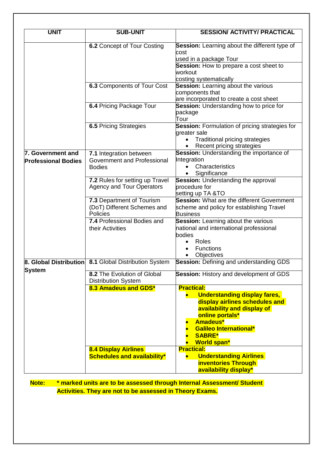| <b>UNIT</b>                | <b>SUB-UNIT</b>                                                   | <b>SESSION/ ACTIVITY/ PRACTICAL</b>                                             |
|----------------------------|-------------------------------------------------------------------|---------------------------------------------------------------------------------|
|                            |                                                                   |                                                                                 |
|                            | 6.2 Concept of Tour Costing                                       | Session: Learning about the different type of<br>cost                           |
|                            |                                                                   | used in a package Tour                                                          |
|                            |                                                                   | Session: How to prepare a cost sheet to                                         |
|                            |                                                                   | workout                                                                         |
|                            |                                                                   | costing systematically                                                          |
|                            | 6.3 Components of Tour Cost                                       | <b>Session:</b> Learning about the various                                      |
|                            |                                                                   | components that                                                                 |
|                            |                                                                   | are incorporated to create a cost sheet                                         |
|                            | 6.4 Pricing Package Tour                                          | Session: Understanding how to price for                                         |
|                            |                                                                   | package                                                                         |
|                            |                                                                   | Tour                                                                            |
|                            | <b>6.5 Pricing Strategies</b>                                     | Session: Formulation of pricing strategies for                                  |
|                            |                                                                   | greater sale                                                                    |
|                            |                                                                   | <b>Traditional pricing strategies</b><br>Recent pricing strategies<br>$\bullet$ |
| 7. Government and          | 7.1 Integration between                                           | Session: Understanding the importance of                                        |
|                            | Government and Professional                                       | Integration                                                                     |
| <b>Professional Bodies</b> | <b>Bodies</b>                                                     | Characteristics                                                                 |
|                            |                                                                   | Significance                                                                    |
|                            | 7.2 Rules for setting up Travel                                   | <b>Session:</b> Understanding the approval                                      |
|                            | <b>Agency and Tour Operators</b>                                  | procedure for                                                                   |
|                            |                                                                   | setting up TA &TO                                                               |
|                            | 7.3 Department of Tourism                                         | Session: What are the different Government                                      |
|                            | (DoT) Different Schemes and                                       | scheme and policy for establishing Travel                                       |
|                            | <b>Policies</b>                                                   | <b>Business</b>                                                                 |
|                            | 7.4 Professional Bodies and                                       | <b>Session:</b> Learning about the various                                      |
|                            | their Activities                                                  | national and international professional                                         |
|                            |                                                                   | bodies                                                                          |
|                            |                                                                   | Roles                                                                           |
|                            |                                                                   | <b>Functions</b>                                                                |
|                            |                                                                   | Objectives<br><b>Session:</b> Defining and understanding GDS                    |
|                            | <b>8. Global Distribution</b> 8.1 Global Distribution System      |                                                                                 |
| <b>System</b>              | 8.2 The Evolution of Global                                       | Session: History and development of GDS                                         |
|                            | <b>Distribution System</b>                                        |                                                                                 |
|                            | 8.3 Amadeus and GDS*                                              | <b>Practical:</b>                                                               |
|                            |                                                                   | <b>Understanding display fares,</b>                                             |
|                            |                                                                   | display airlines schedules and                                                  |
|                            |                                                                   | availability and display of                                                     |
|                            |                                                                   | online portals*                                                                 |
|                            |                                                                   | <b>Amadeus*</b>                                                                 |
|                            |                                                                   | <b>Galileo International*</b>                                                   |
|                            |                                                                   | <b>SABRE*</b>                                                                   |
|                            |                                                                   | <b>World span*</b><br><b>Practical:</b>                                         |
|                            | <b>8.4 Display Airlines</b><br><b>Schedules and availability*</b> | <b>Understanding Airlines</b>                                                   |
|                            |                                                                   | <b>inventories Through</b>                                                      |
|                            |                                                                   | availability display*                                                           |
|                            |                                                                   |                                                                                 |

**Note: \* marked units are to be assessed through Internal Assessment/ Student Activities. They are not to be assessed in Theory Exams.**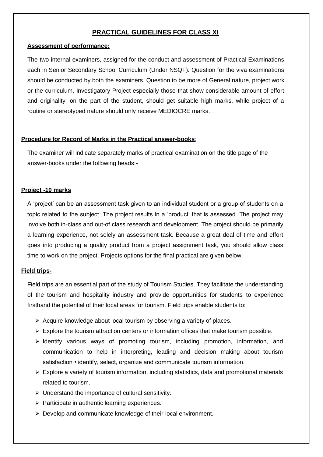#### **PRACTICAL GUIDELINES FOR CLASS XI**

#### **Assessment of performance:**

The two internal examiners, assigned for the conduct and assessment of Practical Examinations each in Senior Secondary School Curriculum (Under NSQF). Question for the viva examinations should be conducted by both the examiners. Question to be more of General nature, project work or the curriculum. Investigatory Project especially those that show considerable amount of effort and originality, on the part of the student, should get suitable high marks, while project of a routine or stereotyped nature should only receive MEDIOCRE marks.

#### **Procedure for Record of Marks in the Practical answer-books**:

The examiner will indicate separately marks of practical examination on the title page of the answer-books under the following heads:-

#### **Project -10 marks**

A 'project' can be an assessment task given to an individual student or a group of students on a topic related to the subject. The project results in a 'product' that is assessed. The project may involve both in-class and out-of class research and development. The project should be primarily a learning experience, not solely an assessment task. Because a great deal of time and effort goes into producing a quality product from a project assignment task, you should allow class time to work on the project. Projects options for the final practical are given below.

#### **Field trips-**

Field trips are an essential part of the study of Tourism Studies. They facilitate the understanding of the tourism and hospitality industry and provide opportunities for students to experience firsthand the potential of their local areas for tourism. Field trips enable students to:

- $\triangleright$  Acquire knowledge about local tourism by observing a variety of places.
- $\triangleright$  Explore the tourism attraction centers or information offices that make tourism possible.
- $\triangleright$  Identify various ways of promoting tourism, including promotion, information, and communication to help in interpreting, leading and decision making about tourism satisfaction • identify, select, organize and communicate tourism information.
- $\triangleright$  Explore a variety of tourism information, including statistics, data and promotional materials related to tourism.
- $\triangleright$  Understand the importance of cultural sensitivity.
- $\triangleright$  Participate in authentic learning experiences.
- $\triangleright$  Develop and communicate knowledge of their local environment.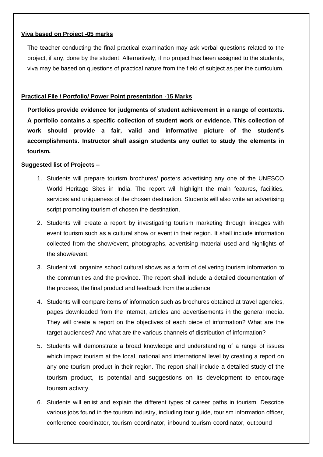#### **Viva based on Project -05 marks**

The teacher conducting the final practical examination may ask verbal questions related to the project, if any, done by the student. Alternatively, if no project has been assigned to the students, viva may be based on questions of practical nature from the field of subject as per the curriculum.

#### **Practical File / Portfolio/ Power Point presentation -15 Marks**

**Portfolios provide evidence for judgments of student achievement in a range of contexts. A portfolio contains a specific collection of student work or evidence. This collection of work should provide a fair, valid and informative picture of the student's accomplishments. Instructor shall assign students any outlet to study the elements in tourism.**

#### **Suggested list of Projects –**

- 1. Students will prepare tourism brochures/ posters advertising any one of the UNESCO World Heritage Sites in India. The report will highlight the main features, facilities, services and uniqueness of the chosen destination. Students will also write an advertising script promoting tourism of chosen the destination.
- 2. Students will create a report by investigating tourism marketing through linkages with event tourism such as a cultural show or event in their region. It shall include information collected from the show/event, photographs, advertising material used and highlights of the show/event.
- 3. Student will organize school cultural shows as a form of delivering tourism information to the communities and the province. The report shall include a detailed documentation of the process, the final product and feedback from the audience.
- 4. Students will compare items of information such as brochures obtained at travel agencies, pages downloaded from the internet, articles and advertisements in the general media. They will create a report on the objectives of each piece of information? What are the target audiences? And what are the various channels of distribution of information?
- 5. Students will demonstrate a broad knowledge and understanding of a range of issues which impact tourism at the local, national and international level by creating a report on any one tourism product in their region. The report shall include a detailed study of the tourism product, its potential and suggestions on its development to encourage tourism activity.
- 6. Students will enlist and explain the different types of career paths in tourism. Describe various jobs found in the tourism industry, including tour guide, tourism information officer, conference coordinator, tourism coordinator, inbound tourism coordinator, outbound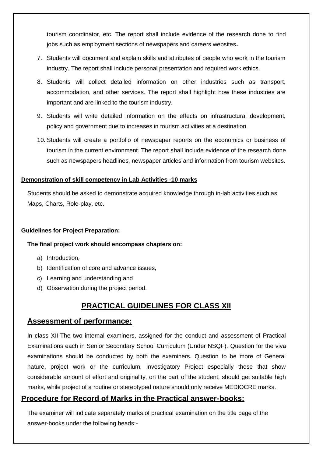tourism coordinator, etc. The report shall include evidence of the research done to find jobs such as employment sections of newspapers and careers websites**.**

- 7. Students will document and explain skills and attributes of people who work in the tourism industry. The report shall include personal presentation and required work ethics.
- 8. Students will collect detailed information on other industries such as transport, accommodation, and other services. The report shall highlight how these industries are important and are linked to the tourism industry.
- 9. Students will write detailed information on the effects on infrastructural development, policy and government due to increases in tourism activities at a destination.
- 10. Students will create a portfolio of newspaper reports on the economics or business of tourism in the current environment. The report shall include evidence of the research done such as newspapers headlines, newspaper articles and information from tourism websites.

#### **Demonstration of skill competency in Lab Activities -10 marks**

Students should be asked to demonstrate acquired knowledge through in-lab activities such as Maps, Charts, Role-play, etc.

#### **Guidelines for Project Preparation:**

#### **The final project work should encompass chapters on:**

- a) Introduction,
- b) Identification of core and advance issues,
- c) Learning and understanding and
- d) Observation during the project period.

# **PRACTICAL GUIDELINES FOR CLASS XII**

#### **Assessment of performance:**

In class XII-The two internal examiners, assigned for the conduct and assessment of Practical Examinations each in Senior Secondary School Curriculum (Under NSQF). Question for the viva examinations should be conducted by both the examiners. Question to be more of General nature, project work or the curriculum. Investigatory Project especially those that show considerable amount of effort and originality, on the part of the student, should get suitable high marks, while project of a routine or stereotyped nature should only receive MEDIOCRE marks.

#### **Procedure for Record of Marks in the Practical answer-books:**

The examiner will indicate separately marks of practical examination on the title page of the answer-books under the following heads:-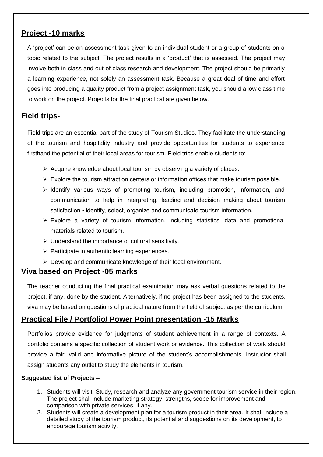# **Project -10 marks**

A 'project' can be an assessment task given to an individual student or a group of students on a topic related to the subject. The project results in a 'product' that is assessed. The project may involve both in-class and out-of class research and development. The project should be primarily a learning experience, not solely an assessment task. Because a great deal of time and effort goes into producing a quality product from a project assignment task, you should allow class time to work on the project. Projects for the final practical are given below.

# **Field trips-**

Field trips are an essential part of the study of Tourism Studies. They facilitate the understanding of the tourism and hospitality industry and provide opportunities for students to experience firsthand the potential of their local areas for tourism. Field trips enable students to:

- $\triangleright$  Acquire knowledge about local tourism by observing a variety of places.
- $\triangleright$  Explore the tourism attraction centers or information offices that make tourism possible.
- $\triangleright$  Identify various ways of promoting tourism, including promotion, information, and communication to help in interpreting, leading and decision making about tourism satisfaction • identify, select, organize and communicate tourism information.
- $\triangleright$  Explore a variety of tourism information, including statistics, data and promotional materials related to tourism.
- $\triangleright$  Understand the importance of cultural sensitivity.
- $\triangleright$  Participate in authentic learning experiences.
- $\triangleright$  Develop and communicate knowledge of their local environment.

## **Viva based on Project -05 marks**

The teacher conducting the final practical examination may ask verbal questions related to the project, if any, done by the student. Alternatively, if no project has been assigned to the students, viva may be based on questions of practical nature from the field of subject as per the curriculum.

## **Practical File / Portfolio/ Power Point presentation -15 Marks**

Portfolios provide evidence for judgments of student achievement in a range of contexts. A portfolio contains a specific collection of student work or evidence. This collection of work should provide a fair, valid and informative picture of the student's accomplishments. Instructor shall assign students any outlet to study the elements in tourism.

#### **Suggested list of Projects –**

- 1. Students will visit, Study, research and analyze any government tourism service in their region. The project shall include marketing strategy, strengths, scope for improvement and comparison with private services, if any.
- 2. Students will create a development plan for a tourism product in their area. It shall include a detailed study of the tourism product, its potential and suggestions on its development, to encourage tourism activity.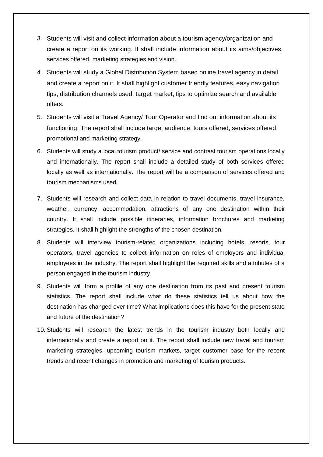- create a report on its working. It shall include information about its aims/objectives, 3. **.** Students will visit and collect information about a tourism agency/organization andservices offered, marketing strategies and vision.
- and create a report on it. It shall highlight customer friendly features, easy navigation tips, distribution channels used, target market, tips to optimize search and available 4. **.** Students will study a Global Distribution System based online travel agency in detail offers.
- functioning. The report shall include target audience, tours offered, services offered, 5. **5.** Students will visit a Travel Agency/ Tour Operator and find out information about its promotional and marketing strategy.
- 6. Students will study a local tourism product/ service and contrast tourism operations locally and internationally. The report shall include a detailed study of both services offered locally as well as internationally. The report will be a comparison of services offered and tourism mechanisms used.
- 7. Students will research and collect data in relation to travel documents, travel insurance, weather, currency, accommodation, attractions of any one destination within their country. It shall include possible itineraries, information brochures and marketing strategies. It shall highlight the strengths of the chosen destination.
- 8. Students will interview tourism-related organizations including hotels, resorts, tour operators, travel agencies to collect information on roles of employers and individual employees in the industry. The report shall highlight the required skills and attributes of a person engaged in the tourism industry.
- 9. Students will form a profile of any one destination from its past and present tourism statistics. The report shall include what do these statistics tell us about how the destination has changed over time? What implications does this have for the present state and future of the destination?
- 10. Students will research the latest trends in the tourism industry both locally and internationally and create a report on it. The report shall include new travel and tourism marketing strategies, upcoming tourism markets, target customer base for the recent trends and recent changes in promotion and marketing of tourism products.